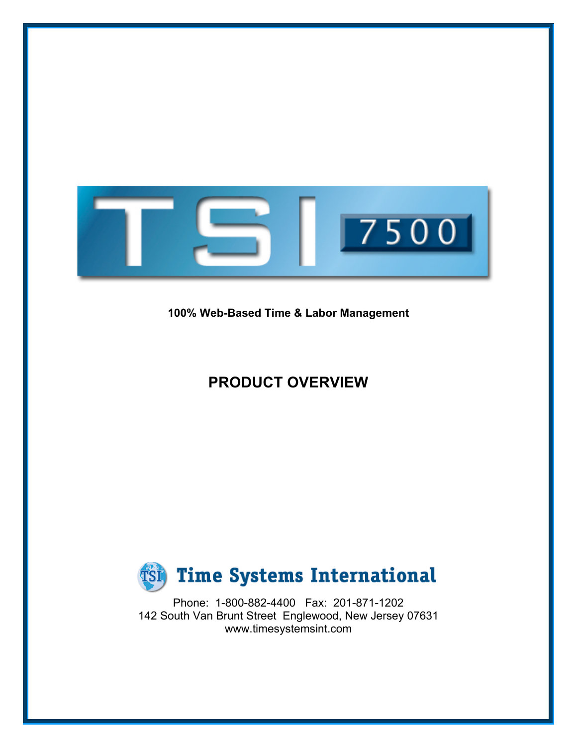

**100% Web-Based Time & Labor Management**

# **PRODUCT OVERVIEW**



Phone: 1-800-882-4400 Fax: 201-871-1202 142 South Van Brunt Street Englewood, New Jersey 07631 www.timesystemsint.com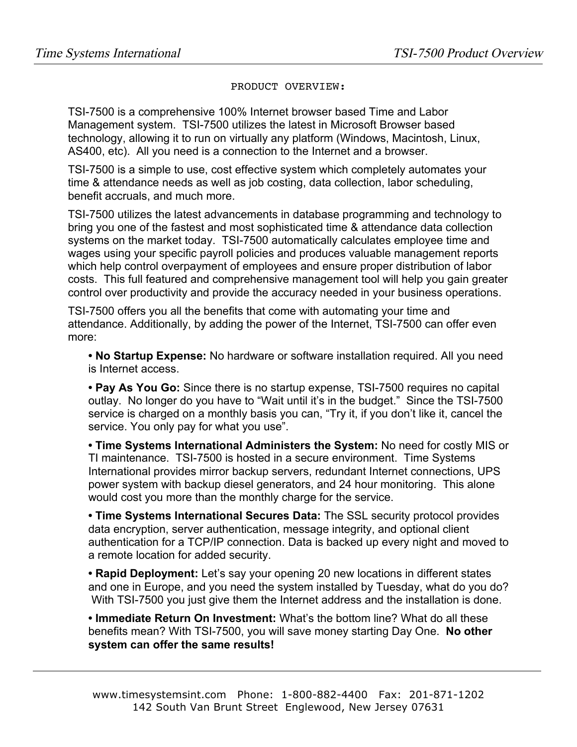#### PRODUCT OVERVIEW:

TSI-7500 is a comprehensive 100% Internet browser based Time and Labor Management system. TSI-7500 utilizes the latest in Microsoft Browser based technology, allowing it to run on virtually any platform (Windows, Macintosh, Linux, AS400, etc). All you need is a connection to the Internet and a browser.

TSI-7500 is a simple to use, cost effective system which completely automates your time & attendance needs as well as job costing, data collection, labor scheduling, benefit accruals, and much more.

TSI-7500 utilizes the latest advancements in database programming and technology to bring you one of the fastest and most sophisticated time & attendance data collection systems on the market today. TSI-7500 automatically calculates employee time and wages using your specific payroll policies and produces valuable management reports which help control overpayment of employees and ensure proper distribution of labor costs. This full featured and comprehensive management tool will help you gain greater control over productivity and provide the accuracy needed in your business operations.

TSI-7500 offers you all the benefits that come with automating your time and attendance. Additionally, by adding the power of the Internet, TSI-7500 can offer even more:

**• No Startup Expense:** No hardware or software installation required. All you need is Internet access.

**• Pay As You Go:** Since there is no startup expense, TSI-7500 requires no capital outlay. No longer do you have to "Wait until it's in the budget." Since the TSI-7500 service is charged on a monthly basis you can, "Try it, if you don't like it, cancel the service. You only pay for what you use".

**• Time Systems International Administers the System:** No need for costly MIS or TI maintenance. TSI-7500 is hosted in a secure environment. Time Systems International provides mirror backup servers, redundant Internet connections, UPS power system with backup diesel generators, and 24 hour monitoring. This alone would cost you more than the monthly charge for the service.

**• Time Systems International Secures Data:** The SSL security protocol provides data encryption, server authentication, message integrity, and optional client authentication for a TCP/IP connection. Data is backed up every night and moved to a remote location for added security.

**• Rapid Deployment:** Let's say your opening 20 new locations in different states and one in Europe, and you need the system installed by Tuesday, what do you do? With TSI-7500 you just give them the Internet address and the installation is done.

**• Immediate Return On Investment:** What's the bottom line? What do all these benefits mean? With TSI-7500, you will save money starting Day One. **No other system can offer the same results!**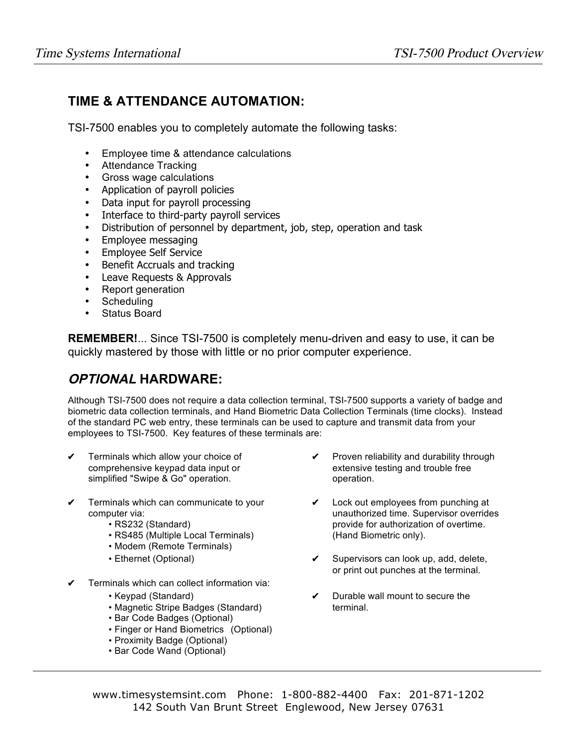#### **TIME & ATTENDANCE AUTOMATION:**

TSI-7500 enables you to completely automate the following tasks:

- Employee time & attendance calculations
- Attendance Tracking
- Gross wage calculations
- Application of payroll policies
- Data input for payroll processing
- Interface to third-party payroll services
- Distribution of personnel by department, job, step, operation and task
- Employee messaging
- Employee Self Service
- Benefit Accruals and tracking
- Leave Requests & Approvals
- Report generation
- **Scheduling**
- Status Board

**REMEMBER!**... Since TSI-7500 is completely menu-driven and easy to use, it can be quickly mastered by those with little or no prior computer experience.

## **OPTIONAL HARDWARE:**

Although TSI-7500 does not require a data collection terminal, TSI-7500 supports a variety of badge and biometric data collection terminals, and Hand Biometric Data Collection Terminals (time clocks). Instead of the standard PC web entry, these terminals can be used to capture and transmit data from your employees to TSI-7500. Key features of these terminals are:

- simplified "Swipe & Go" operation. The contraction operation.
- **✔** Terminals which can communicate to your **✔** Lock out employees from punching at
	-
	- RS485 (Multiple Local Terminals) (Hand Biometric only).
	- Modem (Remote Terminals)
	-
- **✔** Terminals which can collect information via:
	-
	- Magnetic Stripe Badges (Standard) **terminal.**
	- Bar Code Badges (Optional)
	- Finger or Hand Biometrics (Optional)
	- Proximity Badge (Optional)
	- Bar Code Wand (Optional)
- **✔** Terminals which allow your choice of **✔** Proven reliability and durability through comprehensive keypad data input or extensive testing and trouble free
	- computer via: unauthorized time. Supervisor overrides • RS232 (Standard) **provide for authorization of overtime.** 
		- Ethernet (Optional) **✔** Supervisors can look up, add, delete, or print out punches at the terminal.
		- Keypad (Standard) **✔** Durable wall mount to secure the

www.timesystemsint.com Phone: 1-800-882-4400 Fax: 201-871-1202 142 South Van Brunt Street Englewood, New Jersey 07631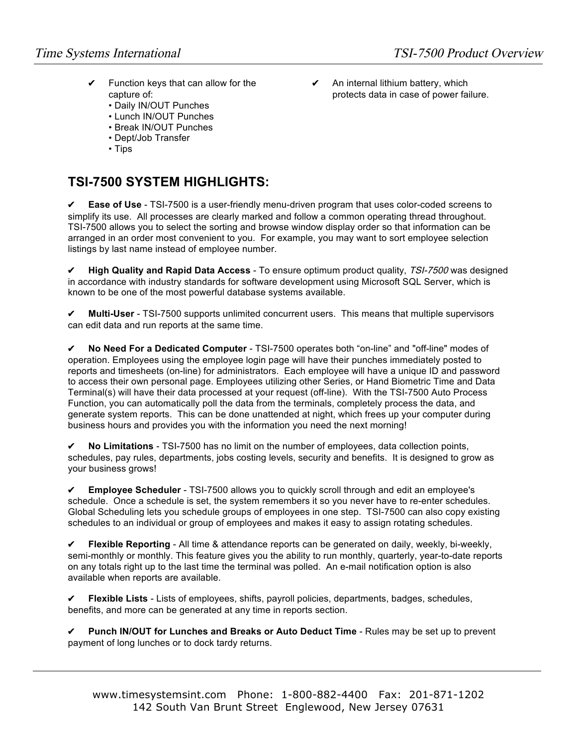- **✔** Function keys that can allow for the **✔** An internal lithium battery, which
	- Daily IN/OUT Punches
	- Lunch IN/OUT Punches
	- Break IN/OUT Punches
	- Dept/Job Transfer
	- Tips

#### **TSI-7500 SYSTEM HIGHLIGHTS:**

**✔ Ease of Use** - TSI-7500 is a user-friendly menu-driven program that uses color-coded screens to simplify its use. All processes are clearly marked and follow a common operating thread throughout. TSI-7500 allows you to select the sorting and browse window display order so that information can be arranged in an order most convenient to you. For example, you may want to sort employee selection listings by last name instead of employee number.

**✔ High Quality and Rapid Data Access** - To ensure optimum product quality, TSI-7500 was designed in accordance with industry standards for software development using Microsoft SQL Server, which is known to be one of the most powerful database systems available.

**✔ Multi-User** - TSI-7500 supports unlimited concurrent users. This means that multiple supervisors can edit data and run reports at the same time.

**✔ No Need For a Dedicated Computer** - TSI-7500 operates both "on-line" and "off-line" modes of operation. Employees using the employee login page will have their punches immediately posted to reports and timesheets (on-line) for administrators. Each employee will have a unique ID and password to access their own personal page. Employees utilizing other Series, or Hand Biometric Time and Data Terminal(s) will have their data processed at your request (off-line). With the TSI-7500 Auto Process Function, you can automatically poll the data from the terminals, completely process the data, and generate system reports. This can be done unattended at night, which frees up your computer during business hours and provides you with the information you need the next morning!

**✔ No Limitations** - TSI-7500 has no limit on the number of employees, data collection points, schedules, pay rules, departments, jobs costing levels, security and benefits. It is designed to grow as your business grows!

**✔ Employee Scheduler** - TSI-7500 allows you to quickly scroll through and edit an employee's schedule. Once a schedule is set, the system remembers it so you never have to re-enter schedules. Global Scheduling lets you schedule groups of employees in one step. TSI-7500 can also copy existing schedules to an individual or group of employees and makes it easy to assign rotating schedules.

**✔ Flexible Reporting** - All time & attendance reports can be generated on daily, weekly, bi-weekly, semi-monthly or monthly. This feature gives you the ability to run monthly, quarterly, year-to-date reports on any totals right up to the last time the terminal was polled. An e-mail notification option is also available when reports are available.

**✔ Flexible Lists** - Lists of employees, shifts, payroll policies, departments, badges, schedules, benefits, and more can be generated at any time in reports section.

**✔ Punch IN/OUT for Lunches and Breaks or Auto Deduct Time** - Rules may be set up to prevent payment of long lunches or to dock tardy returns.

capture of: protects data in case of power failure.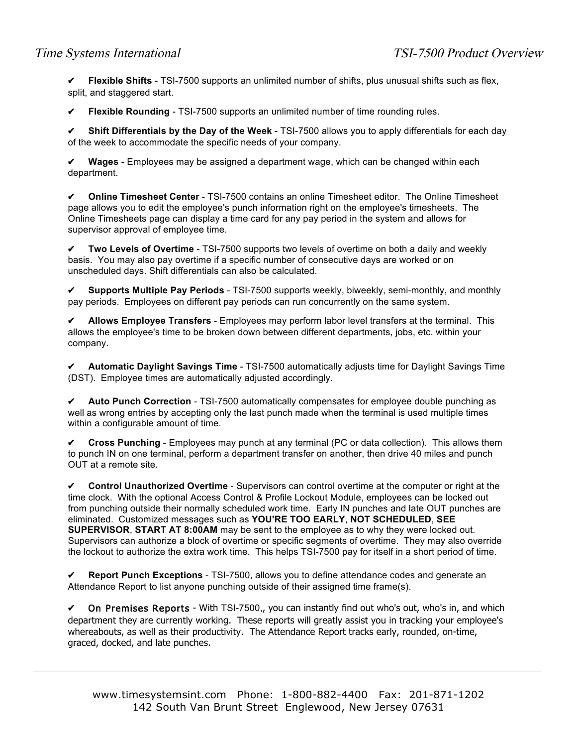**✔ Flexible Shifts** - TSI-7500 supports an unlimited number of shifts, plus unusual shifts such as flex, split, and staggered start.

**✔ Flexible Rounding** - TSI-7500 supports an unlimited number of time rounding rules.

**✔ Shift Differentials by the Day of the Week** - TSI-7500 allows you to apply differentials for each day of the week to accommodate the specific needs of your company.

**✔ Wages** - Employees may be assigned a department wage, which can be changed within each department.

**✔ Online Timesheet Center** - TSI-7500 contains an online Timesheet editor. The Online Timesheet page allows you to edit the employee's punch information right on the employee's timesheets. The Online Timesheets page can display a time card for any pay period in the system and allows for supervisor approval of employee time.

**✔ Two Levels of Overtime** - TSI-7500 supports two levels of overtime on both a daily and weekly basis. You may also pay overtime if a specific number of consecutive days are worked or on unscheduled days. Shift differentials can also be calculated.

**✔ Supports Multiple Pay Periods** - TSI-7500 supports weekly, biweekly, semi-monthly, and monthly pay periods. Employees on different pay periods can run concurrently on the same system.

**✔ Allows Employee Transfers** - Employees may perform labor level transfers at the terminal. This allows the employee's time to be broken down between different departments, jobs, etc. within your company.

**✔ Automatic Daylight Savings Time** - TSI-7500 automatically adjusts time for Daylight Savings Time (DST). Employee times are automatically adjusted accordingly.

**✔ Auto Punch Correction** - TSI-7500 automatically compensates for employee double punching as well as wrong entries by accepting only the last punch made when the terminal is used multiple times within a configurable amount of time.

**✔ Cross Punching** - Employees may punch at any terminal (PC or data collection). This allows them to punch IN on one terminal, perform a department transfer on another, then drive 40 miles and punch OUT at a remote site.

**✔ Control Unauthorized Overtime** - Supervisors can control overtime at the computer or right at the time clock. With the optional Access Control & Profile Lockout Module, employees can be locked out from punching outside their normally scheduled work time. Early IN punches and late OUT punches are eliminated. Customized messages such as **YOU'RE TOO EARLY**, **NOT SCHEDULED**, **SEE SUPERVISOR**, **START AT 8:00AM** may be sent to the employee as to why they were locked out. Supervisors can authorize a block of overtime or specific segments of overtime. They may also override the lockout to authorize the extra work time. This helps TSI-7500 pay for itself in a short period of time.

**✔ Report Punch Exceptions** - TSI-7500, allows you to define attendance codes and generate an Attendance Report to list anyone punching outside of their assigned time frame(s).

**✔** On Premises Reports - With TSI-7500,, you can instantly find out who's out, who's in, and which department they are currently working. These reports will greatly assist you in tracking your employee's whereabouts, as well as their productivity. The Attendance Report tracks early, rounded, on-time, graced, docked, and late punches.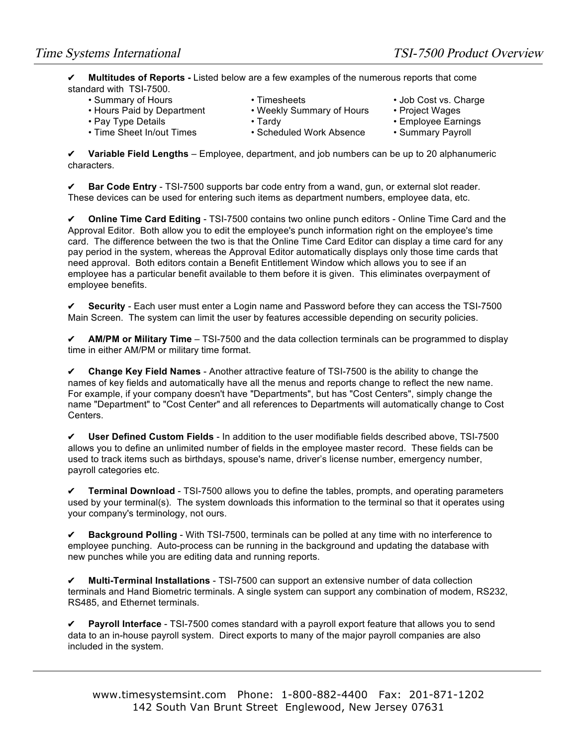**✔ Multitudes of Reports -** Listed below are a few examples of the numerous reports that come standard with TSI-7500.<br>Summary of Hours

- - Hours Paid by Department Weekly Summary of Hours Project Wages
	-
	- Pay Type Details Tardy Tardy Tardy Employee Earnings<br>• Time Sheet In/out Times Scheduled Work Absence Summary Payroll
- Timesheets Job Cost vs. Charge
	- -
		-
		- Scheduled Work Absence Summary Payroll

**✔ Variable Field Lengths** – Employee, department, and job numbers can be up to 20 alphanumeric characters.

**✔ Bar Code Entry** - TSI-7500 supports bar code entry from a wand, gun, or external slot reader. These devices can be used for entering such items as department numbers, employee data, etc.

**✔ Online Time Card Editing** - TSI-7500 contains two online punch editors - Online Time Card and the Approval Editor. Both allow you to edit the employee's punch information right on the employee's time card. The difference between the two is that the Online Time Card Editor can display a time card for any pay period in the system, whereas the Approval Editor automatically displays only those time cards that need approval. Both editors contain a Benefit Entitlement Window which allows you to see if an employee has a particular benefit available to them before it is given. This eliminates overpayment of employee benefits.

**✔ Security** - Each user must enter a Login name and Password before they can access the TSI-7500 Main Screen. The system can limit the user by features accessible depending on security policies.

**✔ AM/PM or Military Time** – TSI-7500 and the data collection terminals can be programmed to display time in either AM/PM or military time format.

**✔ Change Key Field Names** - Another attractive feature of TSI-7500 is the ability to change the names of key fields and automatically have all the menus and reports change to reflect the new name. For example, if your company doesn't have "Departments", but has "Cost Centers", simply change the name "Department" to "Cost Center" and all references to Departments will automatically change to Cost Centers.

**✔ User Defined Custom Fields** - In addition to the user modifiable fields described above, TSI-7500 allows you to define an unlimited number of fields in the employee master record. These fields can be used to track items such as birthdays, spouse's name, driver's license number, emergency number, payroll categories etc.

**✔ Terminal Download** - TSI-7500 allows you to define the tables, prompts, and operating parameters used by your terminal(s). The system downloads this information to the terminal so that it operates using your company's terminology, not ours.

**✔ Background Polling** - With TSI-7500, terminals can be polled at any time with no interference to employee punching. Auto-process can be running in the background and updating the database with new punches while you are editing data and running reports.

**✔ Multi-Terminal Installations** - TSI-7500 can support an extensive number of data collection terminals and Hand Biometric terminals. A single system can support any combination of modem, RS232, RS485, and Ethernet terminals.

**✔ Payroll Interface** - TSI-7500 comes standard with a payroll export feature that allows you to send data to an in-house payroll system. Direct exports to many of the major payroll companies are also included in the system.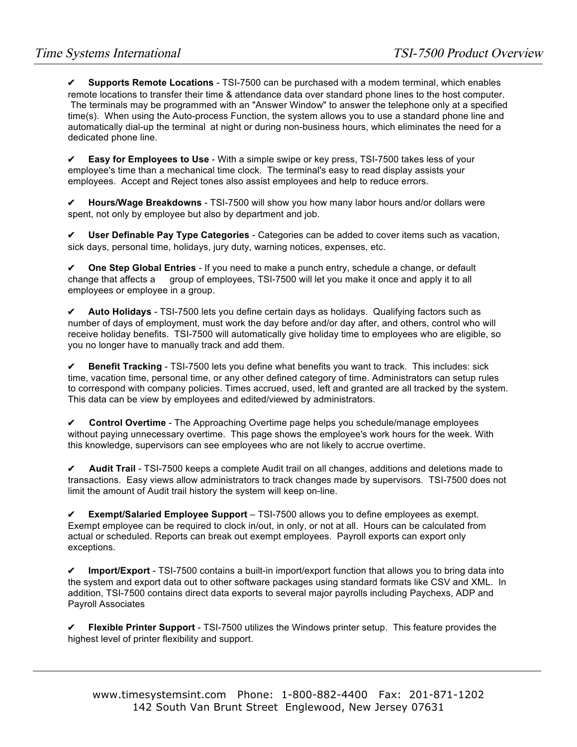**✔ Supports Remote Locations** - TSI-7500 can be purchased with a modem terminal, which enables remote locations to transfer their time & attendance data over standard phone lines to the host computer. The terminals may be programmed with an "Answer Window" to answer the telephone only at a specified time(s). When using the Auto-process Function, the system allows you to use a standard phone line and automatically dial-up the terminal at night or during non-business hours, which eliminates the need for a dedicated phone line.

**Easy for Employees to Use** - With a simple swipe or key press, TSI-7500 takes less of your employee's time than a mechanical time clock. The terminal's easy to read display assists your employees. Accept and Reject tones also assist employees and help to reduce errors.

**✔ Hours/Wage Breakdowns** - TSI-7500 will show you how many labor hours and/or dollars were spent, not only by employee but also by department and job.

**✔ User Definable Pay Type Categories** - Categories can be added to cover items such as vacation, sick days, personal time, holidays, jury duty, warning notices, expenses, etc.

**✔ One Step Global Entries** - If you need to make a punch entry, schedule a change, or default change that affects a group of employees, TSI-7500 will let you make it once and apply it to all employees or employee in a group.

**✔ Auto Holidays** - TSI-7500 lets you define certain days as holidays. Qualifying factors such as number of days of employment, must work the day before and/or day after, and others, control who will receive holiday benefits. TSI-7500 will automatically give holiday time to employees who are eligible, so you no longer have to manually track and add them.

**✔ Benefit Tracking** - TSI-7500 lets you define what benefits you want to track. This includes: sick time, vacation time, personal time, or any other defined category of time. Administrators can setup rules to correspond with company policies. Times accrued, used, left and granted are all tracked by the system. This data can be view by employees and edited/viewed by administrators.

**✔ Control Overtime** - The Approaching Overtime page helps you schedule/manage employees without paying unnecessary overtime. This page shows the employee's work hours for the week. With this knowledge, supervisors can see employees who are not likely to accrue overtime.

**✔ Audit Trail** - TSI-7500 keeps a complete Audit trail on all changes, additions and deletions made to transactions. Easy views allow administrators to track changes made by supervisors. TSI-7500 does not limit the amount of Audit trail history the system will keep on-line.

**✔ Exempt/Salaried Employee Support** – TSI-7500 allows you to define employees as exempt. Exempt employee can be required to clock in/out, in only, or not at all. Hours can be calculated from actual or scheduled. Reports can break out exempt employees. Payroll exports can export only exceptions.

**✔ Import/Export** - TSI-7500 contains a built-in import/export function that allows you to bring data into the system and export data out to other software packages using standard formats like CSV and XML. In addition, TSI-7500 contains direct data exports to several major payrolls including Paychexs, ADP and Payroll Associates

**✔ Flexible Printer Support** - TSI-7500 utilizes the Windows printer setup. This feature provides the highest level of printer flexibility and support.

www.timesystemsint.com Phone: 1-800-882-4400 Fax: 201-871-1202 142 South Van Brunt Street Englewood, New Jersey 07631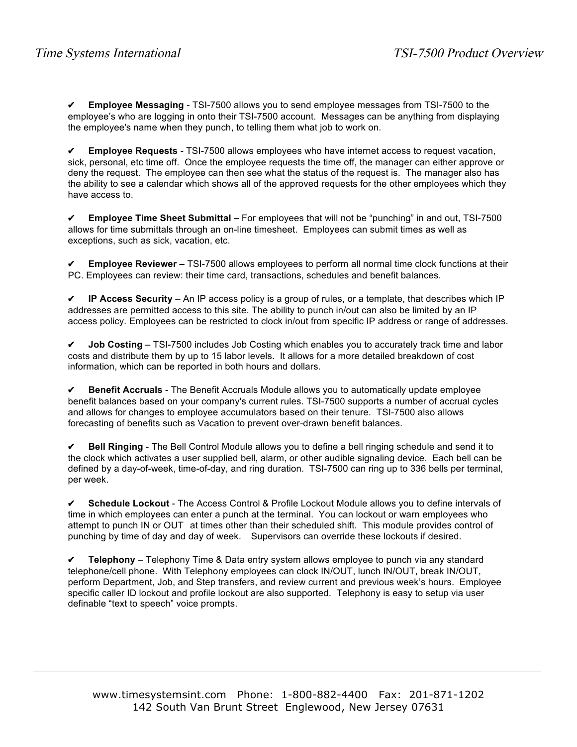**✔ Employee Messaging** - TSI-7500 allows you to send employee messages from TSI-7500 to the employee's who are logging in onto their TSI-7500 account. Messages can be anything from displaying the employee's name when they punch, to telling them what job to work on.

**✔ Employee Requests** - TSI-7500 allows employees who have internet access to request vacation, sick, personal, etc time off. Once the employee requests the time off, the manager can either approve or deny the request. The employee can then see what the status of the request is. The manager also has the ability to see a calendar which shows all of the approved requests for the other employees which they have access to.

**✔ Employee Time Sheet Submittal –** For employees that will not be "punching" in and out, TSI-7500 allows for time submittals through an on-line timesheet. Employees can submit times as well as exceptions, such as sick, vacation, etc.

**✔ Employee Reviewer –** TSI-7500 allows employees to perform all normal time clock functions at their PC. Employees can review: their time card, transactions, schedules and benefit balances.

**✔ IP Access Security** – An IP access policy is a group of rules, or a template, that describes which IP addresses are permitted access to this site. The ability to punch in/out can also be limited by an IP access policy. Employees can be restricted to clock in/out from specific IP address or range of addresses.

**✔ Job Costing** – TSI-7500 includes Job Costing which enables you to accurately track time and labor costs and distribute them by up to 15 labor levels. It allows for a more detailed breakdown of cost information, which can be reported in both hours and dollars.

**✔ Benefit Accruals** - The Benefit Accruals Module allows you to automatically update employee benefit balances based on your company's current rules. TSI-7500 supports a number of accrual cycles and allows for changes to employee accumulators based on their tenure. TSI-7500 also allows forecasting of benefits such as Vacation to prevent over-drawn benefit balances.

**✔ Bell Ringing** - The Bell Control Module allows you to define a bell ringing schedule and send it to the clock which activates a user supplied bell, alarm, or other audible signaling device. Each bell can be defined by a day-of-week, time-of-day, and ring duration. TSI-7500 can ring up to 336 bells per terminal, per week.

**✔ Schedule Lockout** - The Access Control & Profile Lockout Module allows you to define intervals of time in which employees can enter a punch at the terminal. You can lockout or warn employees who attempt to punch IN or OUT at times other than their scheduled shift. This module provides control of punching by time of day and day of week. Supervisors can override these lockouts if desired.

**✔ Telephony** – Telephony Time & Data entry system allows employee to punch via any standard telephone/cell phone. With Telephony employees can clock IN/OUT, lunch IN/OUT, break IN/OUT, perform Department, Job, and Step transfers, and review current and previous week's hours. Employee specific caller ID lockout and profile lockout are also supported. Telephony is easy to setup via user definable "text to speech" voice prompts.